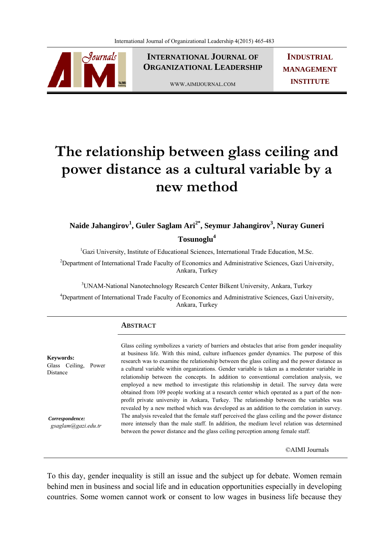

**INTERNATIONAL JOURNAL OF ORGANIZATIONAL LEADERSHIP**

WWW.AIMIJOURNAL.COM

**INDUSTRIAL MANAGEMENT INSTITUTE**

# **The relationship between glass ceiling and power distance as a cultural variable by a new method**

**Naide Jahangirov1 , Guler Saglam Ari2\*, Seymur Jahangirov3 , Nuray Guneri Tosunoglu4**

<sup>1</sup>Gazi University, Institute of Educational Sciences, International Trade Education, M.Sc.

<sup>2</sup>Department of International Trade Faculty of Economics and Administrative Sciences, Gazi University, Ankara, Turkey

<sup>3</sup> UNAM-National Nanotechnology Research Center Bilkent University, Ankara, Turkey

<sup>4</sup>Department of International Trade Faculty of Economics and Administrative Sciences, Gazi University, Ankara, Turkey

## **ABSTRACT**

**Keywords:**  Glass Ceiling, Power Distance

 *Correspondence: gsaglam@gazi.edu.tr* Glass ceiling symbolizes a variety of barriers and obstacles that arise from gender inequality at business life. With this mind, culture influences gender dynamics. The purpose of this research was to examine the relationship between the glass ceiling and the power distance as a cultural variable within organizations. Gender variable is taken as a moderator variable in relationship between the concepts. In addition to conventional correlation analysis, we employed a new method to investigate this relationship in detail. The survey data were obtained from 109 people working at a research center which operated as a part of the nonprofit private university in Ankara, Turkey. The relationship between the variables was revealed by a new method which was developed as an addition to the correlation in survey. The analysis revealed that the female staff perceived the glass ceiling and the power distance more intensely than the male staff. In addition, the medium level relation was determined between the power distance and the glass ceiling perception among female staff.

©AIMI Journals

To this day, gender inequality is still an issue and the subject up for debate. Women remain behind men in business and social life and in education opportunities especially in developing countries. Some women cannot work or consent to low wages in business life because they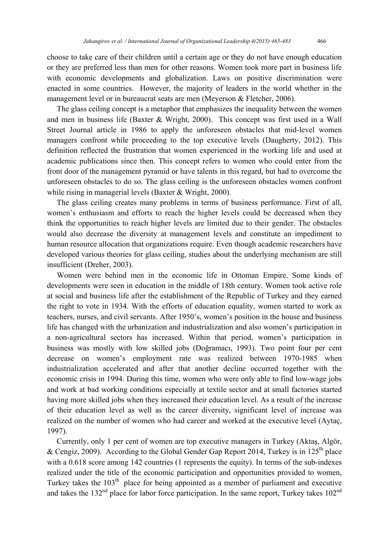choose to take care of their children until a certain age or they do not have enough education or they are preferred less than men for other reasons. Women took more part in business life with economic developments and globalization. Laws on positive discrimination were enacted in some countries. However, the majority of leaders in the world whether in the management level or in bureaucrat seats are men (Meyerson & Fletcher, 2006).

 The glass ceiling concept is a metaphor that emphasizes the inequality between the women and men in business life (Baxter & Wright, 2000). This concept was first used in a Wall Street Journal article in 1986 to apply the unforeseen obstacles that mid-level women managers confront while proceeding to the top executive levels (Daugherty, 2012). This definition reflected the frustration that women experienced in the working life and used at academic publications since then. This concept refers to women who could enter from the front door of the management pyramid or have talents in this regard, but had to overcome the unforeseen obstacles to do so. The glass ceiling is the unforeseen obstacles women confront while rising in managerial levels (Baxter & Wright, 2000).

 The glass ceiling creates many problems in terms of business performance. First of all, women's enthusiasm and efforts to reach the higher levels could be decreased when they think the opportunities to reach higher levels are limited due to their gender. The obstacles would also decrease the diversity at management levels and constitute an impediment to human resource allocation that organizations require. Even though academic researchers have developed various theories for glass ceiling, studies about the underlying mechanism are still insufficient (Dreher, 2003).

 Women were behind men in the economic life in Ottoman Empire. Some kinds of developments were seen in education in the middle of 18th century. Women took active role at social and business life after the establishment of the Republic of Turkey and they earned the right to vote in 1934. With the efforts of education equality, women started to work as teachers, nurses, and civil servants. After 1950's, women's position in the house and business life has changed with the urbanization and industrialization and also women's participation in a non-agricultural sectors has increased. Within that period, women's participation in business was mostly with low skilled jobs (Doğramacı, 1993). Two point four per cent decrease on women's employment rate was realized between 1970-1985 when industrialization accelerated and after that another decline occurred together with the economic crisis in 1994. During this time, women who were only able to find low-wage jobs and work at bad working conditions especially at textile sector and at small factories started having more skilled jobs when they increased their education level. As a result of the increase of their education level as well as the career diversity, significant level of increase was realized on the number of women who had career and worked at the executive level (Aytaç, 1997).

 Currently, only 1 per cent of women are top executive managers in Turkey (Aktaş, Algör, & Cengiz, 2009). According to the Global Gender Gap Report 2014, Turkey is in  $125<sup>th</sup>$  place with a 0.618 score among 142 countries (1 represents the equity). In terms of the sub-indexes realized under the title of the economic participation and opportunities provided to women, Turkey takes the  $103<sup>th</sup>$  place for being appointed as a member of parliament and executive and takes the  $132<sup>nd</sup>$  place for labor force participation. In the same report, Turkey takes  $102<sup>nd</sup>$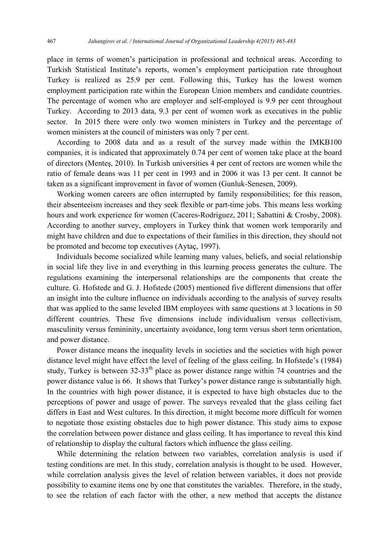place in terms of women's participation in professional and technical areas. According to Turkish Statistical Institute's reports, women's employment participation rate throughout Turkey is realized as 25.9 per cent. Following this, Turkey has the lowest women employment participation rate within the European Union members and candidate countries. The percentage of women who are employer and self-employed is 9.9 per cent throughout Turkey. According to 2013 data, 9.3 per cent of women work as executives in the public sector. In 2015 there were only two women ministers in Turkey and the percentage of women ministers at the council of ministers was only 7 per cent.

 According to 2008 data and as a result of the survey made within the IMKB100 companies, it is indicated that approximately 0.74 per cent of women take place at the board of directors (Menteş, 2010). In Turkish universities 4 per cent of rectors are women while the ratio of female deans was 11 per cent in 1993 and in 2006 it was 13 per cent. It cannot be taken as a significant improvement in favor of women (Gunluk-Senesen, 2009).

 Working women careers are often interrupted by family responsibilities; for this reason, their absenteeism increases and they seek flexible or part-time jobs. This means less working hours and work experience for women (Caceres-Rodriguez, 2011; Sabattini & Crosby, 2008). According to another survey, employers in Turkey think that women work temporarily and might have children and due to expectations of their families in this direction, they should not be promoted and become top executives (Aytaç, 1997).

 Individuals become socialized while learning many values, beliefs, and social relationship in social life they live in and everything in this learning process generates the culture. The regulations examining the interpersonal relationships are the components that create the culture. G. Hofstede and G. J. Hofstede (2005) mentioned five different dimensions that offer an insight into the culture influence on individuals according to the analysis of survey results that was applied to the same leveled IBM employees with same questions at 3 locations in 50 different countries. These five dimensions include individualism versus collectivism, masculinity versus femininity, uncertainty avoidance, long term versus short term orientation, and power distance.

 Power distance means the inequality levels in societies and the societies with high power distance level might have effect the level of feeling of the glass ceiling. In Hofstede's (1984) study, Turkey is between  $32-33<sup>th</sup>$  place as power distance range within 74 countries and the power distance value is 66. It shows that Turkey's power distance range is substantially high. In the countries with high power distance, it is expected to have high obstacles due to the perceptions of power and usage of power. The surveys revealed that the glass ceiling fact differs in East and West cultures. In this direction, it might become more difficult for women to negotiate those existing obstacles due to high power distance. This study aims to expose the correlation between power distance and glass ceiling. It has importance to reveal this kind of relationship to display the cultural factors which influence the glass ceiling.

 While determining the relation between two variables, correlation analysis is used if testing conditions are met. In this study, correlation analysis is thought to be used. However, while correlation analysis gives the level of relation between variables, it does not provide possibility to examine items one by one that constitutes the variables. Therefore, in the study, to see the relation of each factor with the other, a new method that accepts the distance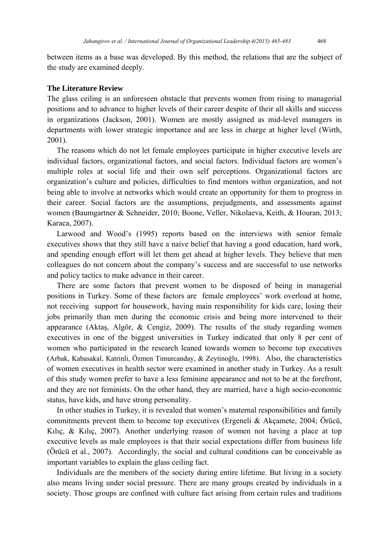between items as a base was developed. By this method, the relations that are the subject of the study are examined deeply.

#### **The Literature Review**

The glass ceiling is an unforeseen obstacle that prevents women from rising to managerial positions and to advance to higher levels of their career despite of their all skills and success in organizations (Jackson, 2001). Women are mostly assigned as mid-level managers in departments with lower strategic importance and are less in charge at higher level (Wirth, 2001).

 The reasons which do not let female employees participate in higher executive levels are individual factors, organizational factors, and social factors. Individual factors are women's multiple roles at social life and their own self perceptions. Organizational factors are organization's culture and policies, difficulties to find mentors within organization, and not being able to involve at networks which would create an opportunity for them to progress in their career. Social factors are the assumptions, prejudgments, and assessments against women (Baumgartner & Schneider, 2010; Boone, Veller, Nikolaeva, Keith, & Houran, 2013; Karaca, 2007).

 Larwood and Wood's (1995) reports based on the interviews with senior female executives shows that they still have a naive belief that having a good education, hard work, and spending enough effort will let them get ahead at higher levels. They believe that men colleagues do not concern about the company's success and are successful to use networks and policy tactics to make advance in their career.

 There are some factors that prevent women to be disposed of being in managerial positions in Turkey. Some of these factors are female employees' work overload at home, not receiving support for housework, having main responsibility for kids care, losing their jobs primarily than men during the economic crisis and being more intervened to their appearance (Aktaş, Algör, & Cengiz, 2009). The results of the study regarding women executives in one of the biggest universities in Turkey indicated that only 8 per cent of women who participated in the research leaned towards women to become top executives (Arbak, Kabasakal, Katrinli, Özmen Timurcanday, & Zeytinoğlu, 1998). Also, the characteristics of women executives in health sector were examined in another study in Turkey. As a result of this study women prefer to have a less feminine appearance and not to be at the forefront, and they are not feminists. On the other hand, they are married, have a high socio-economic status, have kids, and have strong personality.

 In other studies in Turkey, it is revealed that women's maternal responsibilities and family commitments prevent them to become top executives (Ergeneli & Akçamete, 2004; Örücü, Kılıç, & Kılıç, 2007). Another underlying reason of women not having a place at top executive levels as male employees is that their social expectations differ from business life (Örücü et al., 2007). Accordingly, the social and cultural conditions can be conceivable as important variables to explain the glass ceiling fact.

 Individuals are the members of the society during entire lifetime. But living in a society also means living under social pressure. There are many groups created by individuals in a society. Those groups are confined with culture fact arising from certain rules and traditions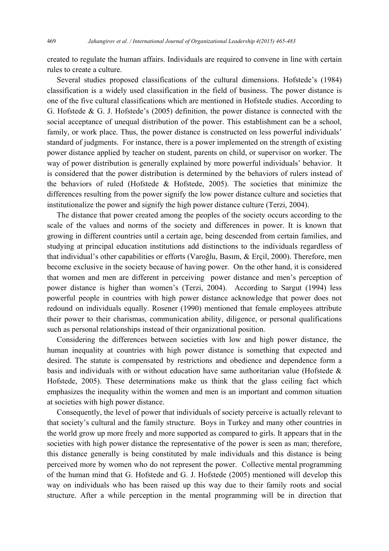created to regulate the human affairs. Individuals are required to convene in line with certain rules to create a culture.

 Several studies proposed classifications of the cultural dimensions. Hofstede's (1984) classification is a widely used classification in the field of business. The power distance is one of the five cultural classifications which are mentioned in Hofstede studies. According to G. Hofstede & G. J. Hofstede's (2005) definition, the power distance is connected with the social acceptance of unequal distribution of the power. This establishment can be a school, family, or work place. Thus, the power distance is constructed on less powerful individuals' standard of judgments. For instance, there is a power implemented on the strength of existing power distance applied by teacher on student, parents on child, or supervisor on worker. The way of power distribution is generally explained by more powerful individuals' behavior. It is considered that the power distribution is determined by the behaviors of rulers instead of the behaviors of ruled (Hofstede & Hofstede, 2005). The societies that minimize the differences resulting from the power signify the low power distance culture and societies that institutionalize the power and signify the high power distance culture (Terzi, 2004).

 The distance that power created among the peoples of the society occurs according to the scale of the values and norms of the society and differences in power. It is known that growing in different countries until a certain age, being descended from certain families, and studying at principal education institutions add distinctions to the individuals regardless of that individual's other capabilities or efforts (Varoğlu, Basım, & Erçil, 2000). Therefore, men become exclusive in the society because of having power. On the other hand, it is considered that women and men are different in perceiving power distance and men's perception of power distance is higher than women's (Terzi, 2004). According to Sargut (1994) less powerful people in countries with high power distance acknowledge that power does not redound on individuals equally. Rosener (1990) mentioned that female employees attribute their power to their charismas, communication ability, diligence, or personal qualifications such as personal relationships instead of their organizational position.

 Considering the differences between societies with low and high power distance, the human inequality at countries with high power distance is something that expected and desired. The statute is compensated by restrictions and obedience and dependence form a basis and individuals with or without education have same authoritarian value (Hofstede & Hofstede, 2005). These determinations make us think that the glass ceiling fact which emphasizes the inequality within the women and men is an important and common situation at societies with high power distance.

 Consequently, the level of power that individuals of society perceive is actually relevant to that society's cultural and the family structure. Boys in Turkey and many other countries in the world grow up more freely and more supported as compared to girls. It appears that in the societies with high power distance the representative of the power is seen as man; therefore, this distance generally is being constituted by male individuals and this distance is being perceived more by women who do not represent the power. Collective mental programming of the human mind that G. Hofstede and G. J. Hofstede (2005) mentioned will develop this way on individuals who has been raised up this way due to their family roots and social structure. After a while perception in the mental programming will be in direction that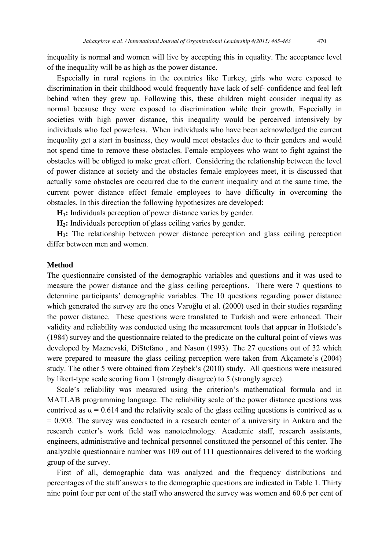inequality is normal and women will live by accepting this in equality. The acceptance level of the inequality will be as high as the power distance.

 Especially in rural regions in the countries like Turkey, girls who were exposed to discrimination in their childhood would frequently have lack of self- confidence and feel left behind when they grew up. Following this, these children might consider inequality as normal because they were exposed to discrimination while their growth. Especially in societies with high power distance, this inequality would be perceived intensively by individuals who feel powerless. When individuals who have been acknowledged the current inequality get a start in business, they would meet obstacles due to their genders and would not spend time to remove these obstacles. Female employees who want to fight against the obstacles will be obliged to make great effort. Considering the relationship between the level of power distance at society and the obstacles female employees meet, it is discussed that actually some obstacles are occurred due to the current inequality and at the same time, the current power distance effect female employees to have difficulty in overcoming the obstacles. In this direction the following hypothesizes are developed:

 **H1:** Individuals perception of power distance varies by gender.

 **H2:** Individuals perception of glass ceiling varies by gender.

 **H3:** The relationship between power distance perception and glass ceiling perception differ between men and women.

# **Method**

The questionnaire consisted of the demographic variables and questions and it was used to measure the power distance and the glass ceiling perceptions. There were 7 questions to determine participants' demographic variables. The 10 questions regarding power distance which generated the survey are the ones Varoğlu et al. (2000) used in their studies regarding the power distance. These questions were translated to Turkish and were enhanced. Their validity and reliability was conducted using the measurement tools that appear in Hofstede's (1984) survey and the questionnaire related to the predicate on the cultural point of views was developed by Maznevski, DiStefano , and Nason (1993). The 27 questions out of 32 which were prepared to measure the glass ceiling perception were taken from Akçamete's (2004) study. The other 5 were obtained from Zeybek's (2010) study. All questions were measured by likert-type scale scoring from 1 (strongly disagree) to 5 (strongly agree).

 Scale's reliability was measured using the criterion's mathematical formula and in MATLAB programming language. The reliability scale of the power distance questions was contrived as  $\alpha$  = 0.614 and the relativity scale of the glass ceiling questions is contrived as  $\alpha$  $= 0.903$ . The survey was conducted in a research center of a university in Ankara and the research center's work field was nanotechnology. Academic staff, research assistants, engineers, administrative and technical personnel constituted the personnel of this center. The analyzable questionnaire number was 109 out of 111 questionnaires delivered to the working group of the survey.

 First of all, demographic data was analyzed and the frequency distributions and percentages of the staff answers to the demographic questions are indicated in Table 1. Thirty nine point four per cent of the staff who answered the survey was women and 60.6 per cent of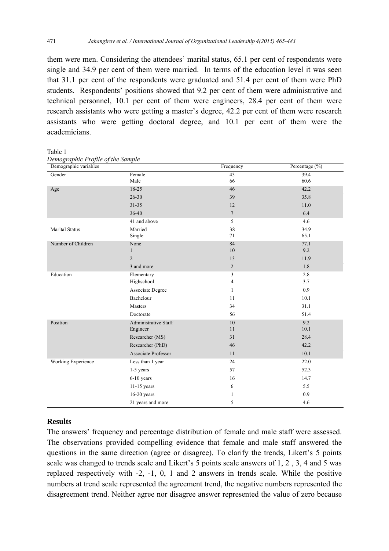them were men. Considering the attendees' marital status, 65.1 per cent of respondents were single and 34.9 per cent of them were married. In terms of the education level it was seen that 31.1 per cent of the respondents were graduated and 51.4 per cent of them were PhD students. Respondents' positions showed that 9.2 per cent of them were administrative and technical personnel, 10.1 per cent of them were engineers, 28.4 per cent of them were research assistants who were getting a master's degree, 42.2 per cent of them were research assistants who were getting doctoral degree, and 10.1 per cent of them were the academicians.

Table 1

| Demographic variables |                             | Frequency       | Percentage (%) |
|-----------------------|-----------------------------|-----------------|----------------|
| Gender                | Female                      | 43              | 39.4           |
|                       | Male                        | 66              | 60.6           |
| Age                   | 18-25                       | 46              | 42.2           |
|                       | $26 - 30$                   | 39              | 35.8           |
|                       | $31 - 35$                   | 12              | 11.0           |
|                       | 36-40                       | $7\phantom{.0}$ | 6.4            |
|                       | 41 and above                | 5               | 4.6            |
| <b>Marital Status</b> | Married                     | 38              | 34.9           |
|                       | Single                      | 71              | 65.1           |
| Number of Children    | None                        | 84              | 77.1           |
|                       | 1                           | 10              | 9.2            |
|                       | $\overline{2}$              | 13              | 11.9           |
|                       | 3 and more                  | $\overline{c}$  | 1.8            |
| Education             | Elementary                  | 3               | 2.8            |
|                       | Highschool                  | 4               | 3.7            |
|                       | Associate Degree            | 1               | 0.9            |
|                       | Bachelour                   | 11              | 10.1           |
|                       | Masters                     | 34              | 31.1           |
|                       | Doctorate                   | 56              | 51.4           |
| Position              | <b>Administrative Staff</b> | 10              | 9.2            |
|                       | Engineer                    | 11              | 10.1           |
|                       | Researcher (MS)             | 31              | 28.4           |
|                       | Researcher (PhD)            | 46              | 42.2           |
|                       | <b>Associate Professor</b>  | 11              | 10.1           |
| Working Experience    | Less than 1 year            | 24              | 22.0           |
|                       | 1-5 years                   | 57              | 52.3           |
|                       | 6-10 years                  | 16              | 14.7           |
|                       | 11-15 years                 | 6               | 5.5            |
|                       | $16-20$ years               | 1               | 0.9            |
|                       | 21 years and more           | 5               | 4.6            |

*Demographic Profile of the Sample* 

# **Results**

The answers' frequency and percentage distribution of female and male staff were assessed. The observations provided compelling evidence that female and male staff answered the questions in the same direction (agree or disagree). To clarify the trends, Likert's 5 points scale was changed to trends scale and Likert's 5 points scale answers of 1, 2 , 3, 4 and 5 was replaced respectively with -2, -1, 0, 1 and 2 answers in trends scale. While the positive numbers at trend scale represented the agreement trend, the negative numbers represented the disagreement trend. Neither agree nor disagree answer represented the value of zero because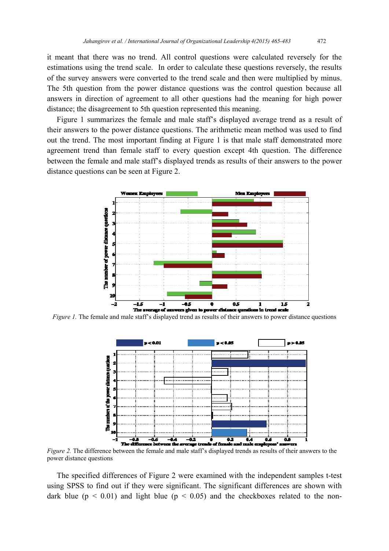it meant that there was no trend. All control questions were calculated reversely for the estimations using the trend scale. In order to calculate these questions reversely, the results of the survey answers were converted to the trend scale and then were multiplied by minus. The 5th question from the power distance questions was the control question because all answers in direction of agreement to all other questions had the meaning for high power distance; the disagreement to 5th question represented this meaning.

 Figure 1 summarizes the female and male staff's displayed average trend as a result of their answers to the power distance questions. The arithmetic mean method was used to find out the trend. The most important finding at Figure 1 is that male staff demonstrated more agreement trend than female staff to every question except 4th question. The difference between the female and male staff's displayed trends as results of their answers to the power distance questions can be seen at Figure 2.



*Figure 1.* The female and male staff's displayed trend as results of their answers to power distance questions



*Figure 2.* The difference between the female and male staff's displayed trends as results of their answers to the power distance questions

 The specified differences of Figure 2 were examined with the independent samples t-test using SPSS to find out if they were significant. The significant differences are shown with dark blue ( $p < 0.01$ ) and light blue ( $p < 0.05$ ) and the checkboxes related to the non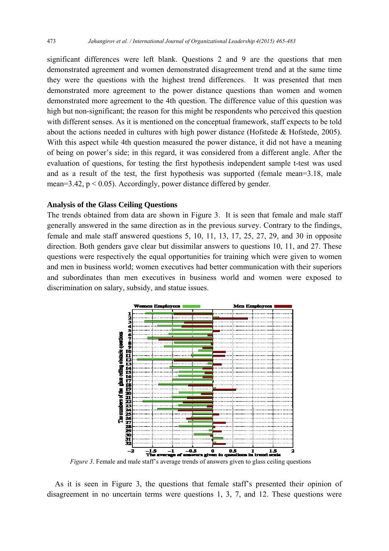significant differences were left blank. Questions 2 and 9 are the questions that men demonstrated agreement and women demonstrated disagreement trend and at the same time they were the questions with the highest trend differences. It was presented that men demonstrated more agreement to the power distance questions than women and women demonstrated more agreement to the 4th question. The difference value of this question was high but non-significant; the reason for this might be respondents who perceived this question with different senses. As it is mentioned on the conceptual framework, staff expects to be told about the actions needed in cultures with high power distance (Hofstede & Hofstede, 2005). With this aspect while 4th question measured the power distance, it did not have a meaning of being on power's side; in this regard, it was considered from a different angle. After the evaluation of questions, for testing the first hypothesis independent sample t-test was used and as a result of the test, the first hypothesis was supported (female mean=3.18, male mean=3.42,  $p < 0.05$ ). Accordingly, power distance differed by gender.

# **Analysis of the Glass Ceiling Questions**

The trends obtained from data are shown in Figure 3. It is seen that female and male staff generally answered in the same direction as in the previous survey. Contrary to the findings, female and male staff answered questions 5, 10, 11, 13, 17, 25, 27, 29, and 30 in opposite direction. Both genders gave clear but dissimilar answers to questions 10, 11, and 27. These questions were respectively the equal opportunities for training which were given to women and men in business world; women executives had better communication with their superiors and subordinates than men executives in business world and women were exposed to discrimination on salary, subsidy, and statue issues.



*Figure 3*. Female and male staff's average trends of answers given to glass ceiling questions

 As it is seen in Figure 3, the questions that female staff's presented their opinion of disagreement in no uncertain terms were questions 1, 3, 7, and 12. These questions were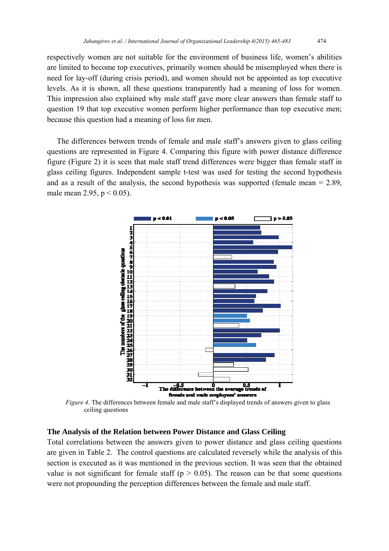respectively women are not suitable for the environment of business life, women's abilities are limited to become top executives, primarily women should be misemployed when there is need for lay-off (during crisis period), and women should not be appointed as top executive levels. As it is shown, all these questions transparently had a meaning of loss for women. This impression also explained why male staff gave more clear answers than female staff to question 19 that top executive women perform higher performance than top executive men; because this question had a meaning of loss for men.

 The differences between trends of female and male staff's answers given to glass ceiling questions are represented in Figure 4. Comparing this figure with power distance difference figure (Figure 2) it is seen that male staff trend differences were bigger than female staff in glass ceiling figures. Independent sample t-test was used for testing the second hypothesis and as a result of the analysis, the second hypothesis was supported (female mean = 2.89, male mean 2.95,  $p < 0.05$ ).



*Figure 4*. The differences between female and male staff's displayed trends of answers given to glass ceiling questions

# **The Analysis of the Relation between Power Distance and Glass Ceiling**

Total correlations between the answers given to power distance and glass ceiling questions are given in Table 2. The control questions are calculated reversely while the analysis of this section is executed as it was mentioned in the previous section. It was seen that the obtained value is not significant for female staff ( $p > 0.05$ ). The reason can be that some questions were not propounding the perception differences between the female and male staff.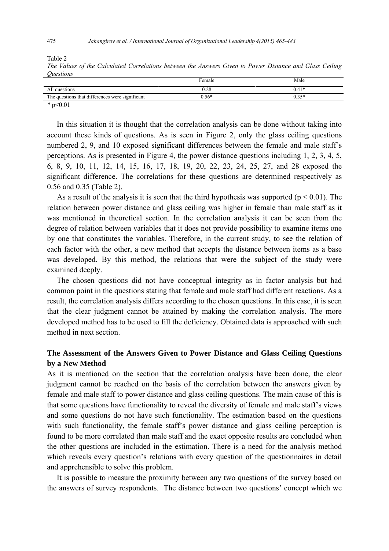Table 2 *The Values of the Calculated Correlations between the Answers Given to Power Distance and Glass Ceiling Questions* 

|                                                                  | Female    | Male    |
|------------------------------------------------------------------|-----------|---------|
| All questions                                                    | $_{0.28}$ | $0.41*$ |
| The questions that differences were significant                  | $0.56*$   | $0.35*$ |
| $\mathbf{a}$ $\mathbf{b}$ $\mathbf{c}$ $\mathbf{d}$ $\mathbf{d}$ |           |         |

*\** p<0.01

 In this situation it is thought that the correlation analysis can be done without taking into account these kinds of questions. As is seen in Figure 2, only the glass ceiling questions numbered 2, 9, and 10 exposed significant differences between the female and male staff's perceptions. As is presented in Figure 4, the power distance questions including 1, 2, 3, 4, 5, 6, 8, 9, 10, 11, 12, 14, 15, 16, 17, 18, 19, 20, 22, 23, 24, 25, 27, and 28 exposed the significant difference. The correlations for these questions are determined respectively as 0.56 and 0.35 (Table 2).

As a result of the analysis it is seen that the third hypothesis was supported ( $p < 0.01$ ). The relation between power distance and glass ceiling was higher in female than male staff as it was mentioned in theoretical section. In the correlation analysis it can be seen from the degree of relation between variables that it does not provide possibility to examine items one by one that constitutes the variables. Therefore, in the current study, to see the relation of each factor with the other, a new method that accepts the distance between items as a base was developed. By this method, the relations that were the subject of the study were examined deeply.

 The chosen questions did not have conceptual integrity as in factor analysis but had common point in the questions stating that female and male staff had different reactions. As a result, the correlation analysis differs according to the chosen questions. In this case, it is seen that the clear judgment cannot be attained by making the correlation analysis. The more developed method has to be used to fill the deficiency. Obtained data is approached with such method in next section.

# **The Assessment of the Answers Given to Power Distance and Glass Ceiling Questions by a New Method**

As it is mentioned on the section that the correlation analysis have been done, the clear judgment cannot be reached on the basis of the correlation between the answers given by female and male staff to power distance and glass ceiling questions. The main cause of this is that some questions have functionality to reveal the diversity of female and male staff's views and some questions do not have such functionality. The estimation based on the questions with such functionality, the female staff's power distance and glass ceiling perception is found to be more correlated than male staff and the exact opposite results are concluded when the other questions are included in the estimation. There is a need for the analysis method which reveals every question's relations with every question of the questionnaires in detail and apprehensible to solve this problem.

 It is possible to measure the proximity between any two questions of the survey based on the answers of survey respondents. The distance between two questions' concept which we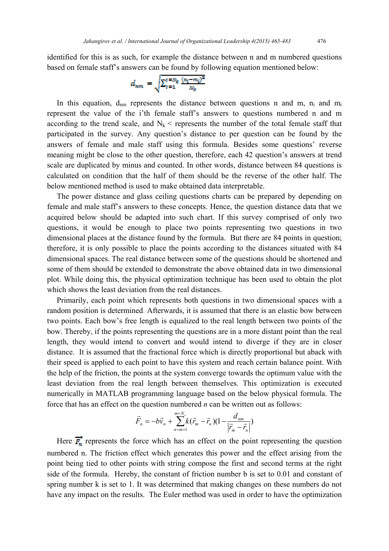identified for this is as such, for example the distance between n and m numbered questions based on female staff's answers can be found by following equation mentioned below:

$$
d_{nm}=\sqrt{\Sigma_{t=1}^{t=N_k}\frac{(n_l-m_l)^2}{N_k}}
$$

In this equation,  $d_{nm}$  represents the distance between questions n and m,  $n_i$  and m represent the value of the i'th female staff's answers to questions numbered n and m according to the trend scale, and  $N_k$  < represents the number of the total female staff that participated in the survey. Any question's distance to per question can be found by the answers of female and male staff using this formula. Besides some questions' reverse meaning might be close to the other question, therefore, each 42 question's answers at trend scale are duplicated by minus and counted. In other words, distance between 84 questions is calculated on condition that the half of them should be the reverse of the other half. The below mentioned method is used to make obtained data interpretable.

 The power distance and glass ceiling questions charts can be prepared by depending on female and male staff's answers to these concepts. Hence, the question distance data that we acquired below should be adapted into such chart. If this survey comprised of only two questions, it would be enough to place two points representing two questions in two dimensional places at the distance found by the formula. But there are 84 points in question; therefore, it is only possible to place the points according to the distances situated with 84 dimensional spaces. The real distance between some of the questions should be shortened and some of them should be extended to demonstrate the above obtained data in two dimensional plot. While doing this, the physical optimization technique has been used to obtain the plot which shows the least deviation from the real distances.

 Primarily, each point which represents both questions in two dimensional spaces with a random position is determined. Afterwards, it is assumed that there is an elastic bow between two points. Each bow's free length is equalized to the real length between two points of the bow. Thereby, if the points representing the questions are in a more distant point than the real length, they would intend to convert and would intend to diverge if they are in closer distance. It is assumed that the fractional force which is directly proportional but aback with their speed is applied to each point to have this system and reach certain balance point. With the help of the friction, the points at the system converge towards the optimum value with the least deviation from the real length between themselves. This optimization is executed numerically in MATLAB programming language based on the below physical formula. The force that has an effect on the question numbered *n* can be written out as follows:

$$
\vec{F}_n = -b\vec{v}_n + \sum_{n=m-1}^{m=N_s} k(\vec{r}_m - \vec{r}_n)(1 - \frac{d_{nm}}{|\vec{r}_m - \vec{r}_n|})
$$

Here  $\overrightarrow{F_n}$  represents the force which has an effect on the point representing the question numbered n. The friction effect which generates this power and the effect arising from the point being tied to other points with string compose the first and second terms at the right side of the formula. Hereby, the constant of friction number b is set to 0.01 and constant of spring number k is set to 1. It was determined that making changes on these numbers do not have any impact on the results. The Euler method was used in order to have the optimization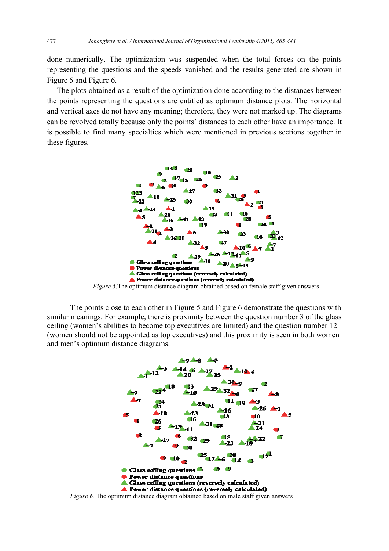done numerically. The optimization was suspended when the total forces on the points representing the questions and the speeds vanished and the results generated are shown in Figure 5 and Figure 6.

 The plots obtained as a result of the optimization done according to the distances between the points representing the questions are entitled as optimum distance plots. The horizontal and vertical axes do not have any meaning; therefore, they were not marked up. The diagrams can be revolved totally because only the points' distances to each other have an importance. It is possible to find many specialties which were mentioned in previous sections together in these figures.



*Figure 5*.The optimum distance diagram obtained based on female staff given answers

The points close to each other in Figure 5 and Figure 6 demonstrate the questions with similar meanings. For example, there is proximity between the question number 3 of the glass ceiling (women's abilities to become top executives are limited) and the question number 12 (women should not be appointed as top executives) and this proximity is seen in both women and men's optimum distance diagrams.



*Figure 6.* The optimum distance diagram obtained based on male staff given answers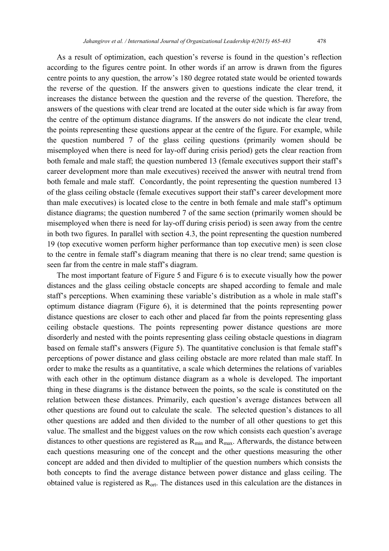As a result of optimization, each question's reverse is found in the question's reflection according to the figures centre point. In other words if an arrow is drawn from the figures centre points to any question, the arrow's 180 degree rotated state would be oriented towards

the reverse of the question. If the answers given to questions indicate the clear trend, it increases the distance between the question and the reverse of the question. Therefore, the answers of the questions with clear trend are located at the outer side which is far away from the centre of the optimum distance diagrams. If the answers do not indicate the clear trend, the points representing these questions appear at the centre of the figure. For example, while the question numbered 7 of the glass ceiling questions (primarily women should be misemployed when there is need for lay-off during crisis period) gets the clear reaction from both female and male staff; the question numbered 13 (female executives support their staff's career development more than male executives) received the answer with neutral trend from both female and male staff. Concordantly, the point representing the question numbered 13 of the glass ceiling obstacle (female executives support their staff's career development more than male executives) is located close to the centre in both female and male staff's optimum distance diagrams; the question numbered 7 of the same section (primarily women should be misemployed when there is need for lay-off during crisis period) is seen away from the centre in both two figures. In parallel with section 4.3, the point representing the question numbered 19 (top executive women perform higher performance than top executive men) is seen close to the centre in female staff's diagram meaning that there is no clear trend; same question is seen far from the centre in male staff's diagram.

The most important feature of Figure 5 and Figure 6 is to execute visually how the power distances and the glass ceiling obstacle concepts are shaped according to female and male staff's perceptions. When examining these variable's distribution as a whole in male staff's optimum distance diagram (Figure 6), it is determined that the points representing power distance questions are closer to each other and placed far from the points representing glass ceiling obstacle questions. The points representing power distance questions are more disorderly and nested with the points representing glass ceiling obstacle questions in diagram based on female staff's answers (Figure 5). The quantitative conclusion is that female staff's perceptions of power distance and glass ceiling obstacle are more related than male staff. In order to make the results as a quantitative, a scale which determines the relations of variables with each other in the optimum distance diagram as a whole is developed. The important thing in these diagrams is the distance between the points, so the scale is constituted on the relation between these distances. Primarily, each question's average distances between all other questions are found out to calculate the scale. The selected question's distances to all other questions are added and then divided to the number of all other questions to get this value. The smallest and the biggest values on the row which consists each question's average distances to other questions are registered as  $R_{min}$  and  $R_{max}$ . Afterwards, the distance between each questions measuring one of the concept and the other questions measuring the other concept are added and then divided to multiplier of the question numbers which consists the both concepts to find the average distance between power distance and glass ceiling. The obtained value is registered as  $R_{\text{opt}}$ . The distances used in this calculation are the distances in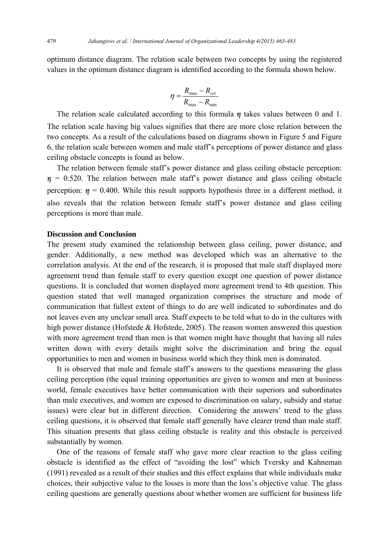optimum distance diagram. The relation scale between two concepts by using the registered values in the optimum distance diagram is identified according to the formula shown below.

$$
\eta = \frac{R_{\text{max}} - R_{\text{ort}}}{R_{\text{max}} - R_{\text{min}}}
$$

The relation scale calculated according to this formula  $\eta$  takes values between 0 and 1. The relation scale having big values signifies that there are more close relation between the two concepts. As a result of the calculations based on diagrams shown in Figure 5 and Figure 6, the relation scale between women and male staff's perceptions of power distance and glass ceiling obstacle concepts is found as below.

 The relation between female staff's power distance and glass ceiling obstacle perception:  $\eta$  = 0.520. The relation between male staff's power distance and glass ceiling obstacle perception:  $\eta = 0.400$ . While this result supports hypothesis three in a different method, it also reveals that the relation between female staff's power distance and glass ceiling perceptions is more than male.

# **Discussion and Conclusion**

The present study examined the relationship between glass ceiling, power distance, and gender. Additionally, a new method was developed which was an alternative to the correlation analysis. At the end of the research, it is proposed that male staff displayed more agreement trend than female staff to every question except one question of power distance questions. It is concluded that women displayed more agreement trend to 4th question. This question stated that well managed organization comprises the structure and mode of communication that fullest extent of things to do are well indicated to subordinates and do not leaves even any unclear small area. Staff expects to be told what to do in the cultures with high power distance (Hofstede & Hofstede, 2005). The reason women answered this question with more agreement trend than men is that women might have thought that having all rules written down with every details might solve the discrimination and bring the equal opportunities to men and women in business world which they think men is dominated.

 It is observed that male and female staff's answers to the questions measuring the glass ceiling perception (the equal training opportunities are given to women and men at business world, female executives have better communication with their superiors and subordinates than male executives, and women are exposed to discrimination on salary, subsidy and statue issues) were clear but in different direction. Considering the answers' trend to the glass ceiling questions, it is observed that female staff generally have clearer trend than male staff. This situation presents that glass ceiling obstacle is reality and this obstacle is perceived substantially by women.

 One of the reasons of female staff who gave more clear reaction to the glass ceiling obstacle is identified as the effect of "avoiding the lost" which Tversky and Kahneman (1991) revealed as a result of their studies and this effect explains that while individuals make choices, their subjective value to the losses is more than the loss's objective value. The glass ceiling questions are generally questions about whether women are sufficient for business life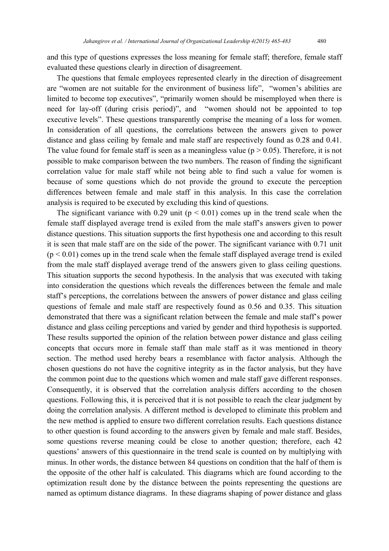and this type of questions expresses the loss meaning for female staff; therefore, female staff evaluated these questions clearly in direction of disagreement.

 The questions that female employees represented clearly in the direction of disagreement are "women are not suitable for the environment of business life", "women's abilities are limited to become top executives", "primarily women should be misemployed when there is need for lay-off (during crisis period)", and "women should not be appointed to top executive levels". These questions transparently comprise the meaning of a loss for women. In consideration of all questions, the correlations between the answers given to power distance and glass ceiling by female and male staff are respectively found as 0.28 and 0.41. The value found for female staff is seen as a meaningless value ( $p > 0.05$ ). Therefore, it is not possible to make comparison between the two numbers. The reason of finding the significant correlation value for male staff while not being able to find such a value for women is because of some questions which do not provide the ground to execute the perception differences between female and male staff in this analysis. In this case the correlation analysis is required to be executed by excluding this kind of questions.

The significant variance with 0.29 unit ( $p < 0.01$ ) comes up in the trend scale when the female staff displayed average trend is exiled from the male staff's answers given to power distance questions. This situation supports the first hypothesis one and according to this result it is seen that male staff are on the side of the power. The significant variance with 0.71 unit  $(p < 0.01)$  comes up in the trend scale when the female staff displayed average trend is exiled from the male staff displayed average trend of the answers given to glass ceiling questions. This situation supports the second hypothesis. In the analysis that was executed with taking into consideration the questions which reveals the differences between the female and male staff's perceptions, the correlations between the answers of power distance and glass ceiling questions of female and male staff are respectively found as 0.56 and 0.35. This situation demonstrated that there was a significant relation between the female and male staff's power distance and glass ceiling perceptions and varied by gender and third hypothesis is supported. These results supported the opinion of the relation between power distance and glass ceiling concepts that occurs more in female staff than male staff as it was mentioned in theory section. The method used hereby bears a resemblance with factor analysis. Although the chosen questions do not have the cognitive integrity as in the factor analysis, but they have the common point due to the questions which women and male staff gave different responses. Consequently, it is observed that the correlation analysis differs according to the chosen questions. Following this, it is perceived that it is not possible to reach the clear judgment by doing the correlation analysis. A different method is developed to eliminate this problem and the new method is applied to ensure two different correlation results. Each questions distance to other question is found according to the answers given by female and male staff. Besides, some questions reverse meaning could be close to another question; therefore, each 42 questions' answers of this questionnaire in the trend scale is counted on by multiplying with minus. In other words, the distance between 84 questions on condition that the half of them is the opposite of the other half is calculated. This diagrams which are found according to the optimization result done by the distance between the points representing the questions are named as optimum distance diagrams. In these diagrams shaping of power distance and glass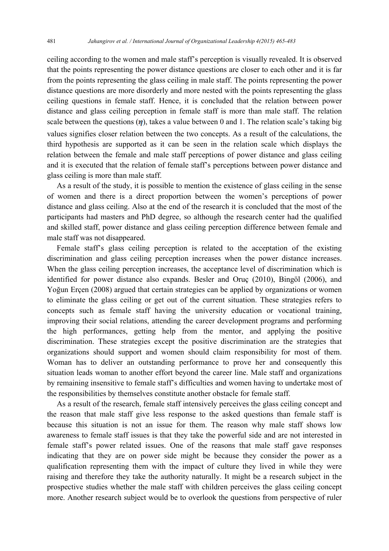ceiling according to the women and male staff's perception is visually revealed. It is observed that the points representing the power distance questions are closer to each other and it is far from the points representing the glass ceiling in male staff. The points representing the power distance questions are more disorderly and more nested with the points representing the glass ceiling questions in female staff. Hence, it is concluded that the relation between power distance and glass ceiling perception in female staff is more than male staff. The relation scale between the questions  $(\eta)$ , takes a value between 0 and 1. The relation scale's taking big values signifies closer relation between the two concepts. As a result of the calculations, the third hypothesis are supported as it can be seen in the relation scale which displays the relation between the female and male staff perceptions of power distance and glass ceiling and it is executed that the relation of female staff's perceptions between power distance and glass ceiling is more than male staff.

 As a result of the study, it is possible to mention the existence of glass ceiling in the sense of women and there is a direct proportion between the women's perceptions of power distance and glass ceiling. Also at the end of the research it is concluded that the most of the participants had masters and PhD degree, so although the research center had the qualified and skilled staff, power distance and glass ceiling perception difference between female and male staff was not disappeared.

 Female staff's glass ceiling perception is related to the acceptation of the existing discrimination and glass ceiling perception increases when the power distance increases. When the glass ceiling perception increases, the acceptance level of discrimination which is identified for power distance also expands. Besler and Oruç (2010), Bingöl (2006), and Yoğun Erçen (2008) argued that certain strategies can be applied by organizations or women to eliminate the glass ceiling or get out of the current situation. These strategies refers to concepts such as female staff having the university education or vocational training, improving their social relations, attending the career development programs and performing the high performances, getting help from the mentor, and applying the positive discrimination. These strategies except the positive discrimination are the strategies that organizations should support and women should claim responsibility for most of them. Woman has to deliver an outstanding performance to prove her and consequently this situation leads woman to another effort beyond the career line. Male staff and organizations by remaining insensitive to female staff's difficulties and women having to undertake most of the responsibilities by themselves constitute another obstacle for female staff.

 As a result of the research, female staff intensively perceives the glass ceiling concept and the reason that male staff give less response to the asked questions than female staff is because this situation is not an issue for them. The reason why male staff shows low awareness to female staff issues is that they take the powerful side and are not interested in female staff's power related issues. One of the reasons that male staff gave responses indicating that they are on power side might be because they consider the power as a qualification representing them with the impact of culture they lived in while they were raising and therefore they take the authority naturally. It might be a research subject in the prospective studies whether the male staff with children perceives the glass ceiling concept more. Another research subject would be to overlook the questions from perspective of ruler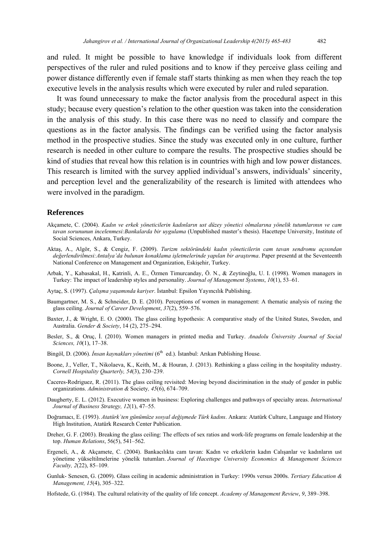and ruled. It might be possible to have knowledge if individuals look from different perspectives of the ruler and ruled positions and to know if they perceive glass ceiling and power distance differently even if female staff starts thinking as men when they reach the top executive levels in the analysis results which were executed by ruler and ruled separation.

 It was found unnecessary to make the factor analysis from the procedural aspect in this study; because every question's relation to the other question was taken into the consideration in the analysis of this study. In this case there was no need to classify and compare the questions as in the factor analysis. The findings can be verified using the factor analysis method in the prospective studies. Since the study was executed only in one culture, further research is needed in other culture to compare the results. The prospective studies should be kind of studies that reveal how this relation is in countries with high and low power distances. This research is limited with the survey applied individual's answers, individuals' sincerity, and perception level and the generalizability of the research is limited with attendees who were involved in the paradigm.

#### **References**

- Akçamete, C. (2004). *Kadın ve erkek yöneticilerin kadınların ust düzey yönetici olmalarına yönelik tutumlarının ve cam tavan sorununun incelenmesi:Bankalarda bir uygulama* (Unpublished master's thesis). Hacettepe University, Institute of Social Sciences, Ankara, Turkey.
- Aktaş, A., Algör, S., & Cengiz, F. (2009). *Turizm sektöründeki kadın yöneticilerin cam tavan sendromu açısından değerlendirilmesi:Antalya'da bulunan konaklama işletmelerinde yapılan bir araştırma*. Paper presentd at the Seventeenth National Conference on Management and Organization, Eskişehir, Turkey.
- Arbak, Y., Kabasakal, H., Katrinli, A. E., Özmen Timurcanday, Ö. N., & Zeytinoğlu, U. I. (1998). Women managers in Turkey: The impact of leadership styles and personality. *Journal of Management Systems*, *10*(1), 53–61.
- Aytaç, S. (1997). *Çalışma yaşamında kariyer*. İstanbul: Epsilon Yayıncılık Publishing.
- Baumgartner, M. S., & Schneider, D. E. (2010). Perceptions of women in management: A thematic analysis of razing the glass ceiling. *Journal of Career Development*, *37*(2), 559–576.
- Baxter, J., & Wright, E. O. (2000). The glass ceiling hypothesis: A comparative study of the United States, Sweden, and Australia. *Gender & Society*, 14 (2), 275–294.
- Besler, S., & Oruç, İ. (2010). Women managers in printed media and Turkey. *Anadolu Üniversity Journal of Social Sciences, 10*(1), 17–38.
- Bingöl, D. (2006). *İnsan kaynakları yönetimi* (6<sup>th</sup> ed.). İstanbul: Arıkan Publishing House.
- Boone, J., Veller, T., Nikolaeva, K., Keith, M., & Houran, J. (2013). Rethinking a glass ceiling in the hospitality ındustry. *Cornell Hospitality Quarterly, 54*(3), 230–239.
- Caceres-Rodriguez, R. (2011). The glass ceiling revisited: Moving beyond discirimination in the study of gender in public organizations. *Administration &* Society*, 45*(6), 674–709.
- Daugherty, E. L. (2012). Executive women in business: Exploring challenges and pathways of specialty areas. *International Journal of Business Strategy, 12*(1), 47–55.
- Doğramacı, E. (1993). *Atatürk`ten günümüze sosyal değişmede Türk kadını*. Ankara: Atatürk Culture, Language and History High Institution, Atatürk Research Center Publication.
- Dreher, G. F. (2003). Breaking the glass ceiling: The effects of sex ratios and work-life programs on female leadership at the top. *Human Relations*, 56(5), 541–562.
- Ergeneli, A., & Akçamete, C. (2004). Bankacılıkta cam tavan: Kadın ve erkeklerin kadın Calışanlar ve kadınların ust yönetime yükseltilmelerine yönelik tutumları. *Journal of Hacettepe University Economics & Management Sciences Faculty, 2*(22), 85–109.
- Gunluk- Senesen, G. (2009). Glass ceiling in academic administration in Turkey: 1990s versus 2000s. *Tertiary Education & Management, 15*(4), 305–322.
- Hofstede, G. (1984). The cultural relativity of the quality of life concept. *Academy of Management Review*, *9*, 389–398.